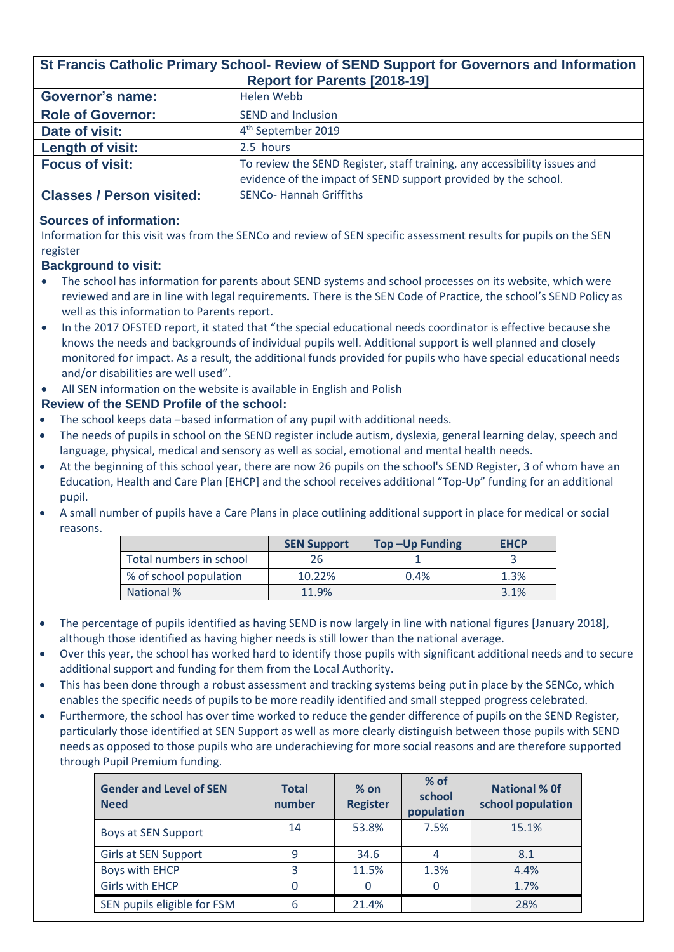| St Francis Catholic Primary School- Review of SEND Support for Governors and Information<br><b>Report for Parents [2018-19]</b>                       |           |                                                                           |                       |                |  |  |
|-------------------------------------------------------------------------------------------------------------------------------------------------------|-----------|---------------------------------------------------------------------------|-----------------------|----------------|--|--|
| <b>Governor's name:</b><br><b>Helen Webb</b>                                                                                                          |           |                                                                           |                       |                |  |  |
| <b>Role of Governor:</b>                                                                                                                              |           | <b>SEND and Inclusion</b>                                                 |                       |                |  |  |
| Date of visit:                                                                                                                                        |           | 4 <sup>th</sup> September 2019                                            |                       |                |  |  |
| <b>Length of visit:</b>                                                                                                                               | 2.5 hours |                                                                           |                       |                |  |  |
| <b>Focus of visit:</b>                                                                                                                                |           | To review the SEND Register, staff training, any accessibility issues and |                       |                |  |  |
|                                                                                                                                                       |           | evidence of the impact of SEND support provided by the school.            |                       |                |  |  |
| <b>Classes / Person visited:</b>                                                                                                                      |           | <b>SENCo- Hannah Griffiths</b>                                            |                       |                |  |  |
| <b>Sources of information:</b>                                                                                                                        |           |                                                                           |                       |                |  |  |
| Information for this visit was from the SENCo and review of SEN specific assessment results for pupils on the SEN                                     |           |                                                                           |                       |                |  |  |
| register                                                                                                                                              |           |                                                                           |                       |                |  |  |
| <b>Background to visit:</b>                                                                                                                           |           |                                                                           |                       |                |  |  |
| The school has information for parents about SEND systems and school processes on its website, which were                                             |           |                                                                           |                       |                |  |  |
| reviewed and are in line with legal requirements. There is the SEN Code of Practice, the school's SEND Policy as                                      |           |                                                                           |                       |                |  |  |
| well as this information to Parents report.                                                                                                           |           |                                                                           |                       |                |  |  |
| In the 2017 OFSTED report, it stated that "the special educational needs coordinator is effective because she<br>$\bullet$                            |           |                                                                           |                       |                |  |  |
| knows the needs and backgrounds of individual pupils well. Additional support is well planned and closely                                             |           |                                                                           |                       |                |  |  |
| monitored for impact. As a result, the additional funds provided for pupils who have special educational needs<br>and/or disabilities are well used". |           |                                                                           |                       |                |  |  |
|                                                                                                                                                       |           |                                                                           |                       |                |  |  |
| All SEN information on the website is available in English and Polish<br>Review of the SEND Profile of the school:                                    |           |                                                                           |                       |                |  |  |
| The school keeps data -based information of any pupil with additional needs.<br>$\bullet$                                                             |           |                                                                           |                       |                |  |  |
| The needs of pupils in school on the SEND register include autism, dyslexia, general learning delay, speech and<br>$\bullet$                          |           |                                                                           |                       |                |  |  |
| language, physical, medical and sensory as well as social, emotional and mental health needs.                                                         |           |                                                                           |                       |                |  |  |
| At the beginning of this school year, there are now 26 pupils on the school's SEND Register, 3 of whom have an<br>$\bullet$                           |           |                                                                           |                       |                |  |  |
| Education, Health and Care Plan [EHCP] and the school receives additional "Top-Up" funding for an additional                                          |           |                                                                           |                       |                |  |  |
| pupil.                                                                                                                                                |           |                                                                           |                       |                |  |  |
| A small number of pupils have a Care Plans in place outlining additional support in place for medical or social                                       |           |                                                                           |                       |                |  |  |
| reasons.                                                                                                                                              |           |                                                                           |                       |                |  |  |
|                                                                                                                                                       |           | <b>SEN Support</b>                                                        | <b>Top-Up Funding</b> | <b>EHCP</b>    |  |  |
| Total numbers in school                                                                                                                               |           | 26                                                                        | 1                     | $\overline{3}$ |  |  |
| % of school population                                                                                                                                |           | 10.22%                                                                    | 0.4%                  | 1.3%           |  |  |
| <b>National %</b>                                                                                                                                     |           | 11.9%                                                                     |                       | 3.1%           |  |  |

- The percentage of pupils identified as having SEND is now largely in line with national figures [January 2018], although those identified as having higher needs is still lower than the national average.
- Over this year, the school has worked hard to identify those pupils with significant additional needs and to secure additional support and funding for them from the Local Authority.
- This has been done through a robust assessment and tracking systems being put in place by the SENCo, which enables the specific needs of pupils to be more readily identified and small stepped progress celebrated.
- Furthermore, the school has over time worked to reduce the gender difference of pupils on the SEND Register, particularly those identified at SEN Support as well as more clearly distinguish between those pupils with SEND needs as opposed to those pupils who are underachieving for more social reasons and are therefore supported through Pupil Premium funding.

| <b>Gender and Level of SEN</b><br><b>Need</b> | <b>Total</b><br>number | $%$ on<br><b>Register</b> | $%$ of<br>school<br>population | <b>National % Of</b><br>school population |
|-----------------------------------------------|------------------------|---------------------------|--------------------------------|-------------------------------------------|
| Boys at SEN Support                           | 14                     | 53.8%                     | 7.5%                           | 15.1%                                     |
| <b>Girls at SEN Support</b>                   | 9                      | 34.6                      | $\overline{4}$                 | 8.1                                       |
| <b>Boys with EHCP</b>                         | 3                      | 11.5%                     | 1.3%                           | 4.4%                                      |
| <b>Girls with EHCP</b>                        |                        | 0                         | 0                              | 1.7%                                      |
| SEN pupils eligible for FSM                   | 6                      | 21.4%                     |                                | 28%                                       |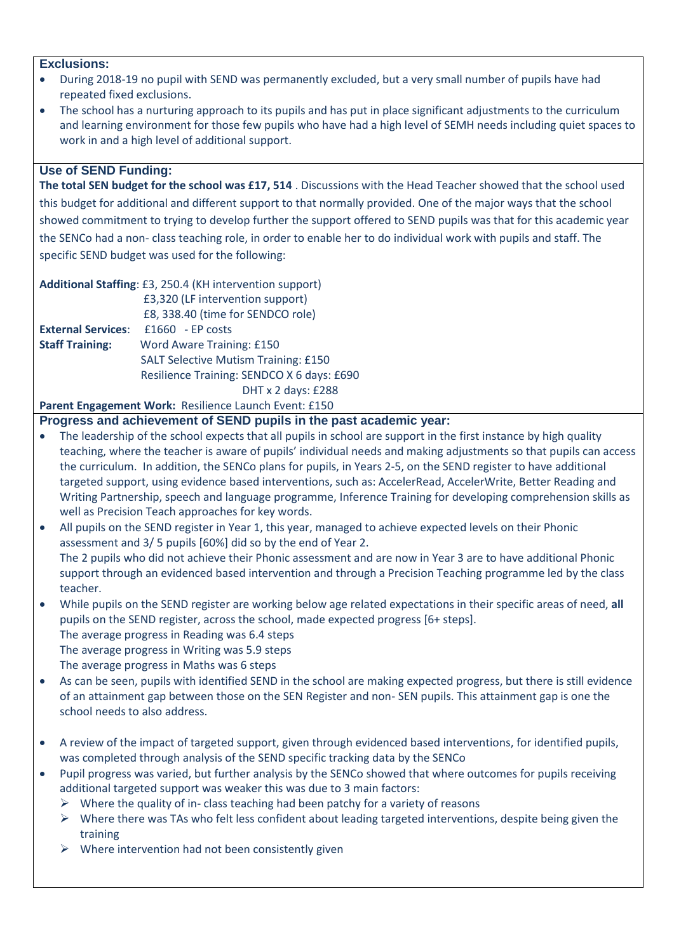#### **Exclusions:**

- During 2018-19 no pupil with SEND was permanently excluded, but a very small number of pupils have had repeated fixed exclusions.
- The school has a nurturing approach to its pupils and has put in place significant adjustments to the curriculum and learning environment for those few pupils who have had a high level of SEMH needs including quiet spaces to work in and a high level of additional support.

## **Use of SEND Funding:**

**The total SEN budget for the school was £17, 514** . Discussions with the Head Teacher showed that the school used this budget for additional and different support to that normally provided. One of the major ways that the school showed commitment to trying to develop further the support offered to SEND pupils was that for this academic year the SENCo had a non- class teaching role, in order to enable her to do individual work with pupils and staff. The specific SEND budget was used for the following:

|                           | Additional Staffing: £3, 250.4 (KH intervention support) |
|---------------------------|----------------------------------------------------------|
|                           | £3,320 (LF intervention support)                         |
|                           | £8, 338.40 (time for SENDCO role)                        |
| <b>External Services:</b> | $£1660$ - EP costs                                       |
| <b>Staff Training:</b>    | Word Aware Training: £150                                |
|                           | <b>SALT Selective Mutism Training: £150</b>              |
|                           | Resilience Training: SENDCO X 6 days: £690               |
|                           | DHT x 2 days: £288                                       |

**Parent Engagement Work:** Resilience Launch Event: £150

**Progress and achievement of SEND pupils in the past academic year:**

- The leadership of the school expects that all pupils in school are support in the first instance by high quality teaching, where the teacher is aware of pupils' individual needs and making adjustments so that pupils can access the curriculum. In addition, the SENCo plans for pupils, in Years 2-5, on the SEND register to have additional targeted support, using evidence based interventions, such as: AccelerRead, AccelerWrite, Better Reading and Writing Partnership, speech and language programme, Inference Training for developing comprehension skills as well as Precision Teach approaches for key words.
- All pupils on the SEND register in Year 1, this year, managed to achieve expected levels on their Phonic assessment and 3/ 5 pupils [60%] did so by the end of Year 2. The 2 pupils who did not achieve their Phonic assessment and are now in Year 3 are to have additional Phonic support through an evidenced based intervention and through a Precision Teaching programme led by the class teacher.
- While pupils on the SEND register are working below age related expectations in their specific areas of need, **all** pupils on the SEND register, across the school, made expected progress [6+ steps]. The average progress in Reading was 6.4 steps The average progress in Writing was 5.9 steps The average progress in Maths was 6 steps
- As can be seen, pupils with identified SEND in the school are making expected progress, but there is still evidence of an attainment gap between those on the SEN Register and non- SEN pupils. This attainment gap is one the school needs to also address.
- A review of the impact of targeted support, given through evidenced based interventions, for identified pupils, was completed through analysis of the SEND specific tracking data by the SENCo
- Pupil progress was varied, but further analysis by the SENCo showed that where outcomes for pupils receiving additional targeted support was weaker this was due to 3 main factors:
	- $\triangleright$  Where the quality of in-class teaching had been patchy for a variety of reasons
	- $\triangleright$  Where there was TAs who felt less confident about leading targeted interventions, despite being given the training
	- $\triangleright$  Where intervention had not been consistently given